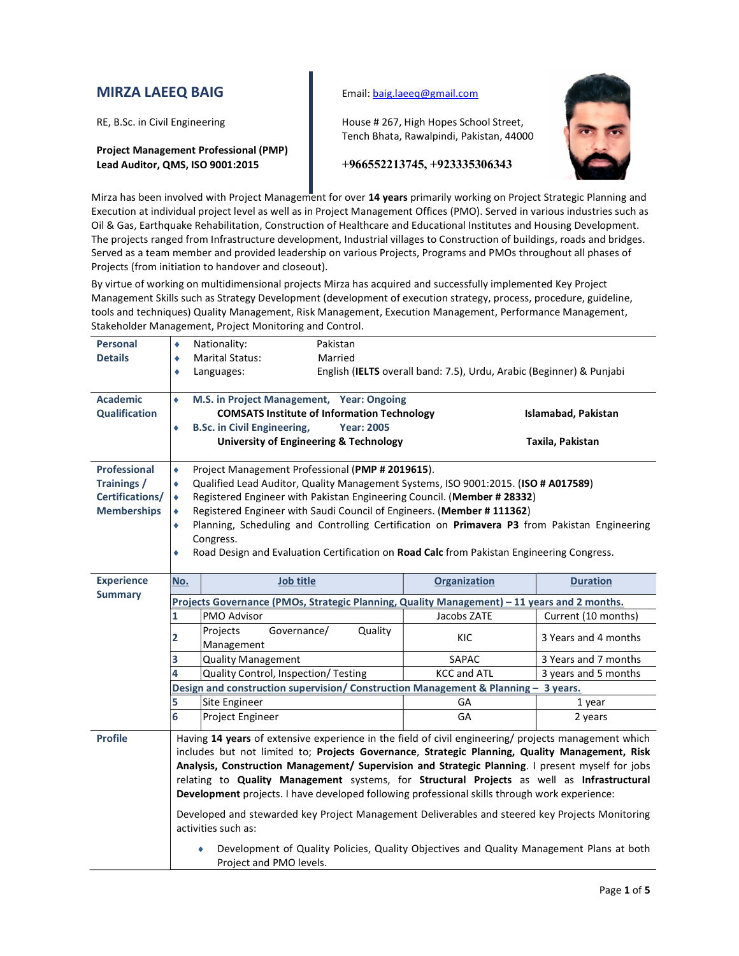## **MIRZA LAEEQ BAIG** Email: baig.laeeq@gmail.com

Project Management Professional (PMP) Lead Auditor, QMS, ISO 9001:2015 +966552213745, +923335306343

RE, B.Sc. in Civil Engineering House # 267, High Hopes School Street, Tench Bhata, Rawalpindi, Pakistan, 44000



Mirza has been involved with Project Management for over 14 years primarily working on Project Strategic Planning and Execution at individual project level as well as in Project Management Offices (PMO). Served in various industries such as Oil & Gas, Earthquake Rehabilitation, Construction of Healthcare and Educational Institutes and Housing Development. The projects ranged from Infrastructure development, Industrial villages to Construction of buildings, roads and bridges. Served as a team member and provided leadership on various Projects, Programs and PMOs throughout all phases of Projects (from initiation to handover and closeout).

By virtue of working on multidimensional projects Mirza has acquired and successfully implemented Key Project Management Skills such as Strategy Development (development of execution strategy, process, procedure, guideline, tools and techniques) Quality Management, Risk Management, Execution Management, Performance Management, Stakeholder Management, Project Monitoring and Control.

| Personal             | ٠                                                                                                                                                                                                                                                                                                                                                                                                  | Nationality:                                                                                                 | Pakistan             |                                                                      |                      |
|----------------------|----------------------------------------------------------------------------------------------------------------------------------------------------------------------------------------------------------------------------------------------------------------------------------------------------------------------------------------------------------------------------------------------------|--------------------------------------------------------------------------------------------------------------|----------------------|----------------------------------------------------------------------|----------------------|
| <b>Details</b>       | ٠                                                                                                                                                                                                                                                                                                                                                                                                  | <b>Marital Status:</b>                                                                                       | Married              |                                                                      |                      |
|                      | ٠                                                                                                                                                                                                                                                                                                                                                                                                  | Languages:                                                                                                   |                      | English (IELTS overall band: 7.5), Urdu, Arabic (Beginner) & Punjabi |                      |
|                      |                                                                                                                                                                                                                                                                                                                                                                                                    |                                                                                                              |                      |                                                                      |                      |
| <b>Academic</b>      | ٠                                                                                                                                                                                                                                                                                                                                                                                                  | M.S. in Project Management, Year: Ongoing                                                                    |                      |                                                                      |                      |
| <b>Qualification</b> |                                                                                                                                                                                                                                                                                                                                                                                                    | <b>COMSATS Institute of Information Technology</b><br>Islamabad, Pakistan                                    |                      |                                                                      |                      |
|                      | ٠                                                                                                                                                                                                                                                                                                                                                                                                  | <b>B.Sc. in Civil Engineering,</b><br><b>Year: 2005</b><br><b>University of Engineering &amp; Technology</b> |                      |                                                                      |                      |
|                      |                                                                                                                                                                                                                                                                                                                                                                                                    |                                                                                                              |                      |                                                                      | Taxila, Pakistan     |
| <b>Professional</b>  | ٠                                                                                                                                                                                                                                                                                                                                                                                                  | Project Management Professional (PMP # 2019615).                                                             |                      |                                                                      |                      |
| Trainings /          | Qualified Lead Auditor, Quality Management Systems, ISO 9001:2015. (ISO # A017589)<br>٠                                                                                                                                                                                                                                                                                                            |                                                                                                              |                      |                                                                      |                      |
| Certifications/      | Registered Engineer with Pakistan Engineering Council. (Member # 28332)<br>٠                                                                                                                                                                                                                                                                                                                       |                                                                                                              |                      |                                                                      |                      |
| <b>Memberships</b>   |                                                                                                                                                                                                                                                                                                                                                                                                    | Registered Engineer with Saudi Council of Engineers. (Member #111362)                                        |                      |                                                                      |                      |
|                      | Planning, Scheduling and Controlling Certification on Primavera P3 from Pakistan Engineering<br>٠                                                                                                                                                                                                                                                                                                  |                                                                                                              |                      |                                                                      |                      |
|                      | Congress.                                                                                                                                                                                                                                                                                                                                                                                          |                                                                                                              |                      |                                                                      |                      |
|                      | Road Design and Evaluation Certification on Road Calc from Pakistan Engineering Congress.<br>٠                                                                                                                                                                                                                                                                                                     |                                                                                                              |                      |                                                                      |                      |
| <b>Experience</b>    | No.                                                                                                                                                                                                                                                                                                                                                                                                | Job title                                                                                                    |                      | <b>Organization</b>                                                  | <b>Duration</b>      |
| <b>Summary</b>       |                                                                                                                                                                                                                                                                                                                                                                                                    |                                                                                                              |                      |                                                                      |                      |
|                      | Projects Governance (PMOs, Strategic Planning, Quality Management) – 11 years and 2 months.                                                                                                                                                                                                                                                                                                        |                                                                                                              |                      |                                                                      |                      |
|                      | 1                                                                                                                                                                                                                                                                                                                                                                                                  | PMO Advisor                                                                                                  |                      | Jacobs ZATE                                                          | Current (10 months)  |
|                      | 2                                                                                                                                                                                                                                                                                                                                                                                                  | Projects<br>Governance/                                                                                      | Quality              | KIC                                                                  | 3 Years and 4 months |
|                      |                                                                                                                                                                                                                                                                                                                                                                                                    | Management                                                                                                   |                      |                                                                      |                      |
|                      | 3                                                                                                                                                                                                                                                                                                                                                                                                  | <b>Quality Management</b>                                                                                    |                      | SAPAC                                                                | 3 Years and 7 months |
|                      | 4<br><b>KCC and ATL</b><br>Quality Control, Inspection/ Testing<br>Design and construction supervision/ Construction Management & Planning - 3 years.                                                                                                                                                                                                                                              |                                                                                                              | 3 years and 5 months |                                                                      |                      |
|                      |                                                                                                                                                                                                                                                                                                                                                                                                    |                                                                                                              |                      |                                                                      |                      |
|                      | 5                                                                                                                                                                                                                                                                                                                                                                                                  | Site Engineer                                                                                                |                      | GА                                                                   | 1 year               |
|                      | 6                                                                                                                                                                                                                                                                                                                                                                                                  | <b>Project Engineer</b>                                                                                      |                      | GA                                                                   | 2 years              |
| <b>Profile</b>       | Having 14 years of extensive experience in the field of civil engineering/ projects management which<br>includes but not limited to; Projects Governance, Strategic Planning, Quality Management, Risk                                                                                                                                                                                             |                                                                                                              |                      |                                                                      |                      |
|                      |                                                                                                                                                                                                                                                                                                                                                                                                    |                                                                                                              |                      |                                                                      |                      |
|                      | Analysis, Construction Management/ Supervision and Strategic Planning. I present myself for jobs<br>relating to Quality Management systems, for Structural Projects as well as Infrastructural<br>Development projects. I have developed following professional skills through work experience:<br>Developed and stewarded key Project Management Deliverables and steered key Projects Monitoring |                                                                                                              |                      |                                                                      |                      |
|                      |                                                                                                                                                                                                                                                                                                                                                                                                    |                                                                                                              |                      |                                                                      |                      |
|                      |                                                                                                                                                                                                                                                                                                                                                                                                    |                                                                                                              |                      |                                                                      |                      |
|                      |                                                                                                                                                                                                                                                                                                                                                                                                    |                                                                                                              |                      |                                                                      |                      |
|                      | activities such as:<br>Development of Quality Policies, Quality Objectives and Quality Management Plans at both<br>Project and PMO levels.                                                                                                                                                                                                                                                         |                                                                                                              |                      |                                                                      |                      |
|                      |                                                                                                                                                                                                                                                                                                                                                                                                    |                                                                                                              |                      |                                                                      |                      |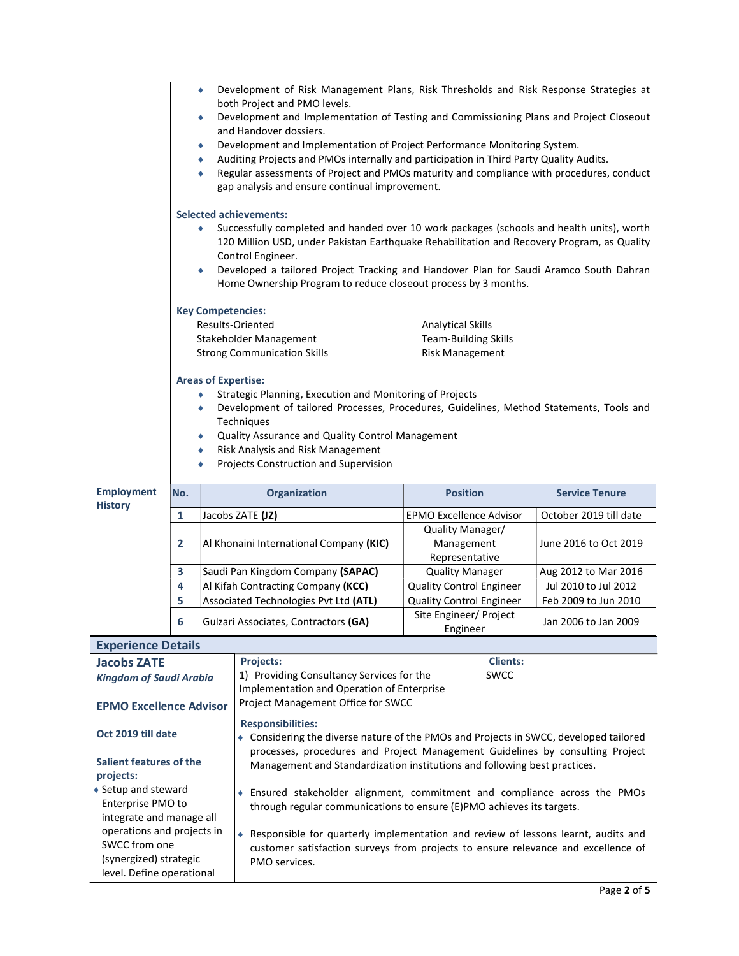|                                                                |                                                                                                                                                                                                                                                                                                            | Development of Risk Management Plans, Risk Thresholds and Risk Response Strategies at<br>٠<br>both Project and PMO levels.                                                                                                                                                                                                      |                                    |                        |  |  |
|----------------------------------------------------------------|------------------------------------------------------------------------------------------------------------------------------------------------------------------------------------------------------------------------------------------------------------------------------------------------------------|---------------------------------------------------------------------------------------------------------------------------------------------------------------------------------------------------------------------------------------------------------------------------------------------------------------------------------|------------------------------------|------------------------|--|--|
|                                                                |                                                                                                                                                                                                                                                                                                            | Development and Implementation of Testing and Commissioning Plans and Project Closeout<br>and Handover dossiers.                                                                                                                                                                                                                |                                    |                        |  |  |
|                                                                |                                                                                                                                                                                                                                                                                                            | Development and Implementation of Project Performance Monitoring System.<br>٠<br>Auditing Projects and PMOs internally and participation in Third Party Quality Audits.<br>٠<br>Regular assessments of Project and PMOs maturity and compliance with procedures, conduct<br>٠<br>gap analysis and ensure continual improvement. |                                    |                        |  |  |
|                                                                |                                                                                                                                                                                                                                                                                                            | <b>Selected achievements:</b>                                                                                                                                                                                                                                                                                                   |                                    |                        |  |  |
|                                                                | Successfully completed and handed over 10 work packages (schools and health units), worth<br>٠<br>120 Million USD, under Pakistan Earthquake Rehabilitation and Recovery Program, as Quality<br>Control Engineer.<br>Developed a tailored Project Tracking and Handover Plan for Saudi Aramco South Dahran |                                                                                                                                                                                                                                                                                                                                 |                                    |                        |  |  |
| Home Ownership Program to reduce closeout process by 3 months. |                                                                                                                                                                                                                                                                                                            |                                                                                                                                                                                                                                                                                                                                 |                                    |                        |  |  |
|                                                                |                                                                                                                                                                                                                                                                                                            | <b>Key Competencies:</b>                                                                                                                                                                                                                                                                                                        |                                    |                        |  |  |
|                                                                | Results-Oriented<br><b>Analytical Skills</b>                                                                                                                                                                                                                                                               |                                                                                                                                                                                                                                                                                                                                 |                                    |                        |  |  |
|                                                                | <b>Team-Building Skills</b><br>Stakeholder Management<br><b>Strong Communication Skills</b><br><b>Risk Management</b>                                                                                                                                                                                      |                                                                                                                                                                                                                                                                                                                                 |                                    |                        |  |  |
|                                                                |                                                                                                                                                                                                                                                                                                            |                                                                                                                                                                                                                                                                                                                                 |                                    |                        |  |  |
|                                                                | <b>Areas of Expertise:</b>                                                                                                                                                                                                                                                                                 |                                                                                                                                                                                                                                                                                                                                 |                                    |                        |  |  |
| Strategic Planning, Execution and Monitoring of Projects<br>٠  |                                                                                                                                                                                                                                                                                                            |                                                                                                                                                                                                                                                                                                                                 |                                    |                        |  |  |
|                                                                | Development of tailored Processes, Procedures, Guidelines, Method Statements, Tools and<br>٠<br>Techniques<br>Quality Assurance and Quality Control Management<br>٠<br>Risk Analysis and Risk Management<br>٠                                                                                              |                                                                                                                                                                                                                                                                                                                                 |                                    |                        |  |  |
|                                                                |                                                                                                                                                                                                                                                                                                            |                                                                                                                                                                                                                                                                                                                                 |                                    |                        |  |  |
|                                                                |                                                                                                                                                                                                                                                                                                            |                                                                                                                                                                                                                                                                                                                                 |                                    |                        |  |  |
|                                                                |                                                                                                                                                                                                                                                                                                            |                                                                                                                                                                                                                                                                                                                                 |                                    |                        |  |  |
|                                                                |                                                                                                                                                                                                                                                                                                            | Projects Construction and Supervision                                                                                                                                                                                                                                                                                           |                                    |                        |  |  |
| <b>Employment</b><br><b>History</b>                            | No.                                                                                                                                                                                                                                                                                                        | <b>Organization</b>                                                                                                                                                                                                                                                                                                             | <b>Position</b>                    | <b>Service Tenure</b>  |  |  |
|                                                                | 1                                                                                                                                                                                                                                                                                                          | Jacobs ZATE (JZ)                                                                                                                                                                                                                                                                                                                | <b>EPMO Excellence Advisor</b>     | October 2019 till date |  |  |
|                                                                |                                                                                                                                                                                                                                                                                                            |                                                                                                                                                                                                                                                                                                                                 | Quality Manager/                   |                        |  |  |
|                                                                | $\mathbf{2}$                                                                                                                                                                                                                                                                                               | Al Khonaini International Company (KIC)                                                                                                                                                                                                                                                                                         | Management                         | June 2016 to Oct 2019  |  |  |
|                                                                |                                                                                                                                                                                                                                                                                                            |                                                                                                                                                                                                                                                                                                                                 | Representative                     |                        |  |  |
|                                                                | 3                                                                                                                                                                                                                                                                                                          | Saudi Pan Kingdom Company (SAPAC)                                                                                                                                                                                                                                                                                               | <b>Quality Manager</b>             | Aug 2012 to Mar 2016   |  |  |
|                                                                | 4                                                                                                                                                                                                                                                                                                          | Al Kifah Contracting Company (KCC)                                                                                                                                                                                                                                                                                              | <b>Quality Control Engineer</b>    | Jul 2010 to Jul 2012   |  |  |
|                                                                | 5                                                                                                                                                                                                                                                                                                          | Associated Technologies Pvt Ltd (ATL)                                                                                                                                                                                                                                                                                           | <b>Quality Control Engineer</b>    | Feb 2009 to Jun 2010   |  |  |
|                                                                | 6                                                                                                                                                                                                                                                                                                          | Gulzari Associates, Contractors (GA)                                                                                                                                                                                                                                                                                            | Site Engineer/ Project<br>Engineer | Jan 2006 to Jan 2009   |  |  |

## Experience Details

| $ \frac{1}{2}$ $\frac{1}{2}$ $\frac{1}{2}$ $\frac{1}{2}$ $\frac{1}{2}$ $\frac{1}{2}$ $\frac{1}{2}$ $\frac{1}{2}$ $\frac{1}{2}$ $\frac{1}{2}$ $\frac{1}{2}$ $\frac{1}{2}$ |                                                                                                                                                                                                                                                     |                 |  |
|--------------------------------------------------------------------------------------------------------------------------------------------------------------------------|-----------------------------------------------------------------------------------------------------------------------------------------------------------------------------------------------------------------------------------------------------|-----------------|--|
| <b>Jacobs ZATE</b>                                                                                                                                                       | <b>Projects:</b>                                                                                                                                                                                                                                    | <b>Clients:</b> |  |
| <b>Kingdom of Saudi Arabia</b>                                                                                                                                           | 1) Providing Consultancy Services for the                                                                                                                                                                                                           | <b>SWCC</b>     |  |
|                                                                                                                                                                          | Implementation and Operation of Enterprise                                                                                                                                                                                                          |                 |  |
| <b>EPMO Excellence Advisor</b>                                                                                                                                           | Project Management Office for SWCC                                                                                                                                                                                                                  |                 |  |
|                                                                                                                                                                          | <b>Responsibilities:</b>                                                                                                                                                                                                                            |                 |  |
| Oct 2019 till date                                                                                                                                                       | • Considering the diverse nature of the PMOs and Projects in SWCC, developed tailored<br>processes, procedures and Project Management Guidelines by consulting Project<br>Management and Standardization institutions and following best practices. |                 |  |
| Salient features of the                                                                                                                                                  |                                                                                                                                                                                                                                                     |                 |  |
| projects:                                                                                                                                                                |                                                                                                                                                                                                                                                     |                 |  |
| ◆ Setup and steward                                                                                                                                                      | Ensured stakeholder alignment, commitment and compliance across the PMOs                                                                                                                                                                            |                 |  |
| Enterprise PMO to                                                                                                                                                        | through regular communications to ensure (E)PMO achieves its targets.                                                                                                                                                                               |                 |  |
| integrate and manage all                                                                                                                                                 |                                                                                                                                                                                                                                                     |                 |  |
| operations and projects in                                                                                                                                               | Responsible for quarterly implementation and review of lessons learnt, audits and<br>٠                                                                                                                                                              |                 |  |
| SWCC from one                                                                                                                                                            | customer satisfaction surveys from projects to ensure relevance and excellence of                                                                                                                                                                   |                 |  |
| (synergized) strategic                                                                                                                                                   | PMO services.                                                                                                                                                                                                                                       |                 |  |
| level. Define operational                                                                                                                                                |                                                                                                                                                                                                                                                     |                 |  |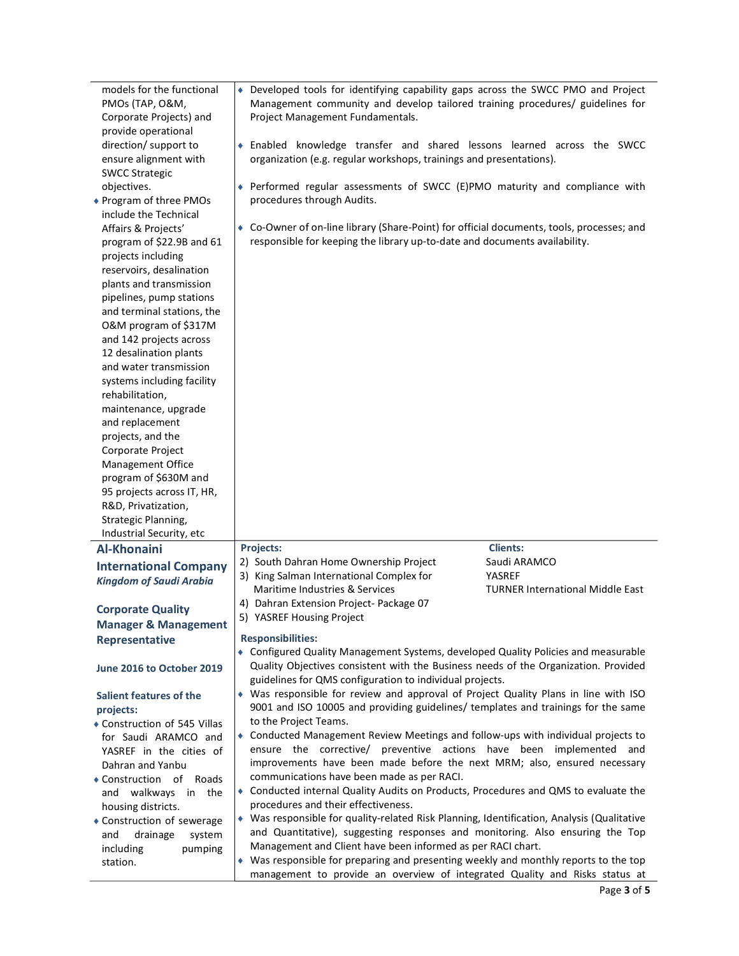| models for the functional<br>PMOs (TAP, O&M,<br>Corporate Projects) and                                                                                                                                                                                                                                     | • Developed tools for identifying capability gaps across the SWCC PMO and Project<br>Management community and develop tailored training procedures/ guidelines for<br>Project Management Fundamentals.                                     |  |  |
|-------------------------------------------------------------------------------------------------------------------------------------------------------------------------------------------------------------------------------------------------------------------------------------------------------------|--------------------------------------------------------------------------------------------------------------------------------------------------------------------------------------------------------------------------------------------|--|--|
| provide operational<br>direction/ support to<br>ensure alignment with<br><b>SWCC Strategic</b>                                                                                                                                                                                                              | ♦ Enabled knowledge transfer and shared lessons learned across the SWCC<br>organization (e.g. regular workshops, trainings and presentations).                                                                                             |  |  |
| objectives.<br>◆ Program of three PMOs<br>include the Technical                                                                                                                                                                                                                                             | ♦ Performed regular assessments of SWCC (E)PMO maturity and compliance with<br>procedures through Audits.                                                                                                                                  |  |  |
| Affairs & Projects'<br>program of \$22.9B and 61<br>projects including<br>reservoirs, desalination                                                                                                                                                                                                          | ♦ Co-Owner of on-line library (Share-Point) for official documents, tools, processes; and<br>responsible for keeping the library up-to-date and documents availability.                                                                    |  |  |
| plants and transmission<br>pipelines, pump stations<br>and terminal stations, the<br>O&M program of \$317M                                                                                                                                                                                                  |                                                                                                                                                                                                                                            |  |  |
| and 142 projects across<br>12 desalination plants<br>and water transmission<br>systems including facility                                                                                                                                                                                                   |                                                                                                                                                                                                                                            |  |  |
| rehabilitation,<br>maintenance, upgrade<br>and replacement                                                                                                                                                                                                                                                  |                                                                                                                                                                                                                                            |  |  |
| projects, and the<br>Corporate Project<br>Management Office                                                                                                                                                                                                                                                 |                                                                                                                                                                                                                                            |  |  |
| program of \$630M and<br>95 projects across IT, HR,<br>R&D, Privatization,                                                                                                                                                                                                                                  |                                                                                                                                                                                                                                            |  |  |
| Strategic Planning,<br>Industrial Security, etc                                                                                                                                                                                                                                                             |                                                                                                                                                                                                                                            |  |  |
| <b>Al-Khonaini</b>                                                                                                                                                                                                                                                                                          | <b>Clients:</b><br><b>Projects:</b>                                                                                                                                                                                                        |  |  |
| <b>International Company</b>                                                                                                                                                                                                                                                                                | 2) South Dahran Home Ownership Project<br>Saudi ARAMCO                                                                                                                                                                                     |  |  |
| <b>Kingdom of Saudi Arabia</b>                                                                                                                                                                                                                                                                              | 3) King Salman International Complex for<br>YASREF<br>Maritime Industries & Services<br><b>TURNER International Middle East</b>                                                                                                            |  |  |
| <b>Corporate Quality</b><br><b>Manager &amp; Management</b>                                                                                                                                                                                                                                                 | 4) Dahran Extension Project- Package 07<br>5) YASREF Housing Project                                                                                                                                                                       |  |  |
| Representative                                                                                                                                                                                                                                                                                              | <b>Responsibilities:</b>                                                                                                                                                                                                                   |  |  |
| June 2016 to October 2019                                                                                                                                                                                                                                                                                   | • Configured Quality Management Systems, developed Quality Policies and measurable<br>Quality Objectives consistent with the Business needs of the Organization. Provided<br>guidelines for QMS configuration to individual projects.      |  |  |
| Salient features of the<br>projects:<br>♦ Construction of 545 Villas                                                                                                                                                                                                                                        | Was responsible for review and approval of Project Quality Plans in line with ISO<br>9001 and ISO 10005 and providing guidelines/ templates and trainings for the same<br>to the Project Teams.                                            |  |  |
| ◆ Conducted Management Review Meetings and follow-ups with individual projects to<br>for Saudi ARAMCO and<br>ensure the corrective/ preventive actions have been implemented and<br>YASREF in the cities of<br>improvements have been made before the next MRM; also, ensured necessary<br>Dahran and Yanbu |                                                                                                                                                                                                                                            |  |  |
| $\bullet$ Construction of<br>Roads<br>and walkways in the                                                                                                                                                                                                                                                   | communications have been made as per RACI.<br>• Conducted internal Quality Audits on Products, Procedures and QMS to evaluate the<br>procedures and their effectiveness.                                                                   |  |  |
| housing districts.<br>• Construction of sewerage<br>drainage<br>and<br>system<br>including<br>pumping                                                                                                                                                                                                       | ◆ Was responsible for quality-related Risk Planning, Identification, Analysis (Qualitative<br>and Quantitative), suggesting responses and monitoring. Also ensuring the Top<br>Management and Client have been informed as per RACI chart. |  |  |
| station.                                                                                                                                                                                                                                                                                                    | ◆ Was responsible for preparing and presenting weekly and monthly reports to the top<br>management to provide an overview of integrated Quality and Risks status at                                                                        |  |  |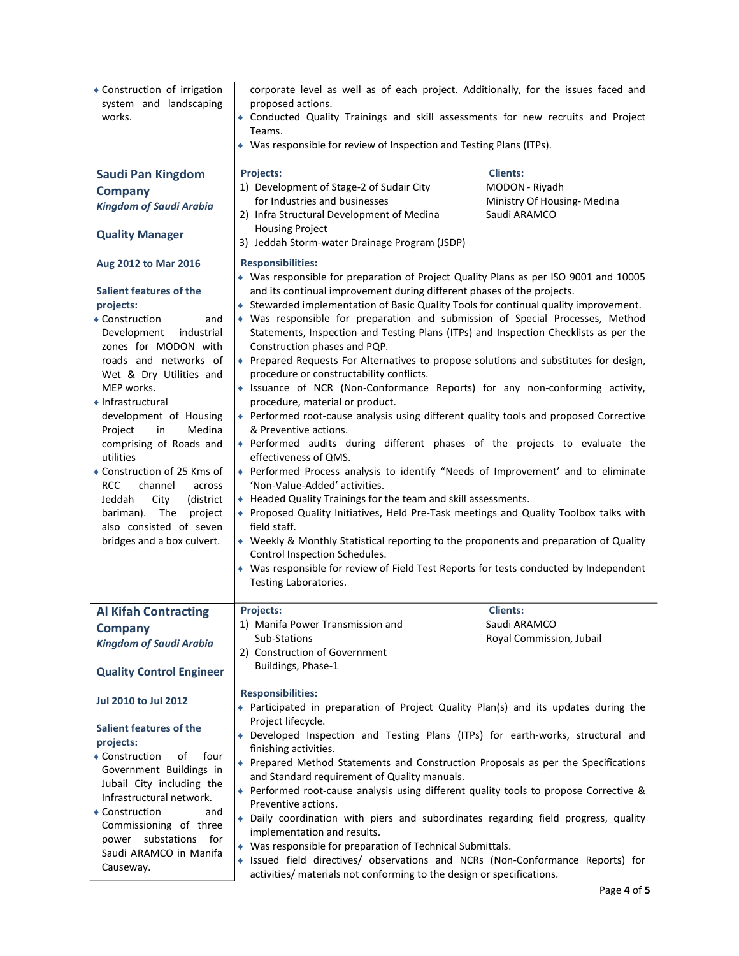| • Construction of irrigation<br>system and landscaping<br>works.                                                                                                                                                                                                                                                                                                                                                                                                                                                     | corporate level as well as of each project. Additionally, for the issues faced and<br>proposed actions.<br>Conducted Quality Trainings and skill assessments for new recruits and Project<br>Teams.<br>• Was responsible for review of Inspection and Testing Plans (ITPs).                                                                                                                                                                                                                                                                                                                                                                                                                                                                                                                                                                                                                                                                                                                                                                                                                                                                                                                                                                                                                                                                                                                                                                                                                                          |                                                                                 |  |
|----------------------------------------------------------------------------------------------------------------------------------------------------------------------------------------------------------------------------------------------------------------------------------------------------------------------------------------------------------------------------------------------------------------------------------------------------------------------------------------------------------------------|----------------------------------------------------------------------------------------------------------------------------------------------------------------------------------------------------------------------------------------------------------------------------------------------------------------------------------------------------------------------------------------------------------------------------------------------------------------------------------------------------------------------------------------------------------------------------------------------------------------------------------------------------------------------------------------------------------------------------------------------------------------------------------------------------------------------------------------------------------------------------------------------------------------------------------------------------------------------------------------------------------------------------------------------------------------------------------------------------------------------------------------------------------------------------------------------------------------------------------------------------------------------------------------------------------------------------------------------------------------------------------------------------------------------------------------------------------------------------------------------------------------------|---------------------------------------------------------------------------------|--|
| Saudi Pan Kingdom<br><b>Company</b><br><b>Kingdom of Saudi Arabia</b>                                                                                                                                                                                                                                                                                                                                                                                                                                                | <b>Projects:</b><br>1) Development of Stage-2 of Sudair City<br>for Industries and businesses<br>2) Infra Structural Development of Medina                                                                                                                                                                                                                                                                                                                                                                                                                                                                                                                                                                                                                                                                                                                                                                                                                                                                                                                                                                                                                                                                                                                                                                                                                                                                                                                                                                           | <b>Clients:</b><br>MODON - Riyadh<br>Ministry Of Housing-Medina<br>Saudi ARAMCO |  |
| <b>Quality Manager</b>                                                                                                                                                                                                                                                                                                                                                                                                                                                                                               | <b>Housing Project</b><br>3) Jeddah Storm-water Drainage Program (JSDP)                                                                                                                                                                                                                                                                                                                                                                                                                                                                                                                                                                                                                                                                                                                                                                                                                                                                                                                                                                                                                                                                                                                                                                                                                                                                                                                                                                                                                                              |                                                                                 |  |
| Aug 2012 to Mar 2016<br>Salient features of the<br>projects:<br>♦ Construction<br>and<br>Development<br>industrial<br>zones for MODON with<br>roads and networks of<br>Wet & Dry Utilities and<br>MEP works.<br>◆ Infrastructural<br>development of Housing<br>Medina<br>Project<br>in<br>comprising of Roads and<br>utilities<br>◆ Construction of 25 Kms of<br><b>RCC</b><br>channel<br>across<br>Jeddah<br>City<br>(district<br>bariman). The<br>project<br>also consisted of seven<br>bridges and a box culvert. | <b>Responsibilities:</b><br>◆ Was responsible for preparation of Project Quality Plans as per ISO 9001 and 10005<br>and its continual improvement during different phases of the projects.<br>Stewarded implementation of Basic Quality Tools for continual quality improvement.<br>• Was responsible for preparation and submission of Special Processes, Method<br>Statements, Inspection and Testing Plans (ITPs) and Inspection Checklists as per the<br>Construction phases and PQP.<br>♦ Prepared Requests For Alternatives to propose solutions and substitutes for design,<br>procedure or constructability conflicts.<br>• Issuance of NCR (Non-Conformance Reports) for any non-conforming activity,<br>procedure, material or product.<br>♦ Performed root-cause analysis using different quality tools and proposed Corrective<br>& Preventive actions.<br>◆ Performed audits during different phases of the projects to evaluate the<br>effectiveness of QMS.<br>◆ Performed Process analysis to identify "Needs of Improvement' and to eliminate<br>'Non-Value-Added' activities.<br>◆ Headed Quality Trainings for the team and skill assessments.<br>◆ Proposed Quality Initiatives, Held Pre-Task meetings and Quality Toolbox talks with<br>field staff.<br>• Weekly & Monthly Statistical reporting to the proponents and preparation of Quality<br>Control Inspection Schedules.<br>Was responsible for review of Field Test Reports for tests conducted by Independent<br>Testing Laboratories. |                                                                                 |  |
| <b>Al Kifah Contracting</b><br><b>Company</b><br><b>Kingdom of Saudi Arabia</b><br><b>Quality Control Engineer</b>                                                                                                                                                                                                                                                                                                                                                                                                   | <b>Projects:</b><br>1) Manifa Power Transmission and<br>Sub-Stations<br>2) Construction of Government<br>Buildings, Phase-1                                                                                                                                                                                                                                                                                                                                                                                                                                                                                                                                                                                                                                                                                                                                                                                                                                                                                                                                                                                                                                                                                                                                                                                                                                                                                                                                                                                          | <b>Clients:</b><br>Saudi ARAMCO<br>Royal Commission, Jubail                     |  |
| <b>Jul 2010 to Jul 2012</b><br>Salient features of the<br>projects:<br>♦ Construction<br>οf<br>four<br>Government Buildings in<br>Jubail City including the<br>Infrastructural network.<br>◆ Construction<br>and<br>Commissioning of three<br>power substations for<br>Saudi ARAMCO in Manifa<br>Causeway.                                                                                                                                                                                                           | <b>Responsibilities:</b><br>• Participated in preparation of Project Quality Plan(s) and its updates during the<br>Project lifecycle.<br>Developed Inspection and Testing Plans (ITPs) for earth-works, structural and<br>finishing activities.<br>• Prepared Method Statements and Construction Proposals as per the Specifications<br>and Standard requirement of Quality manuals.<br>◆ Performed root-cause analysis using different quality tools to propose Corrective &<br>Preventive actions.<br>• Daily coordination with piers and subordinates regarding field progress, quality<br>implementation and results.<br>• Was responsible for preparation of Technical Submittals.<br>• Issued field directives/ observations and NCRs (Non-Conformance Reports) for<br>activities/ materials not conforming to the design or specifications.                                                                                                                                                                                                                                                                                                                                                                                                                                                                                                                                                                                                                                                                   |                                                                                 |  |